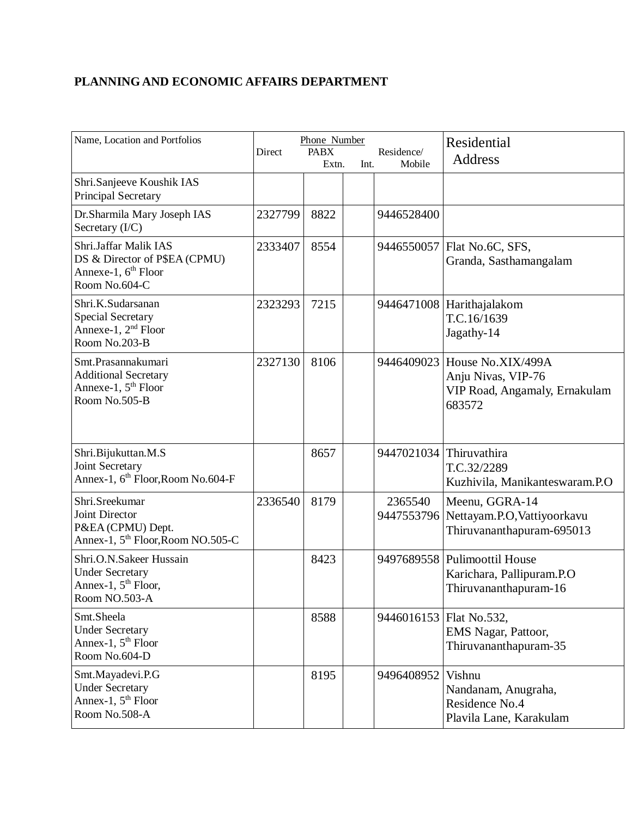## **PLANNING AND ECONOMIC AFFAIRS DEPARTMENT**

| Name, Location and Portfolios                                                                              | Direct  | Phone Number<br><b>PABX</b><br>Extn. | Int. | Residence/<br>Mobile  | Residential<br><b>Address</b>                                                                 |
|------------------------------------------------------------------------------------------------------------|---------|--------------------------------------|------|-----------------------|-----------------------------------------------------------------------------------------------|
| Shri.Sanjeeve Koushik IAS<br>Principal Secretary                                                           |         |                                      |      |                       |                                                                                               |
| Dr.Sharmila Mary Joseph IAS<br>Secretary (I/C)                                                             | 2327799 | 8822                                 |      | 9446528400            |                                                                                               |
| Shri.Jaffar Malik IAS<br>DS & Director of P\$EA (CPMU)<br>Annexe-1, 6 <sup>th</sup> Floor<br>Room No.604-C | 2333407 | 8554                                 |      |                       | 9446550057   Flat No.6C, SFS,<br>Granda, Sasthamangalam                                       |
| Shri.K.Sudarsanan<br><b>Special Secretary</b><br>Annexe-1, 2 <sup>nd</sup> Floor<br>Room No.203-B          | 2323293 | 7215                                 |      |                       | 9446471008 Harithajalakom<br>T.C.16/1639<br>Jagathy-14                                        |
| Smt.Prasannakumari<br><b>Additional Secretary</b><br>Annexe-1, $5th$ Floor<br>Room No.505-B                | 2327130 | 8106                                 |      |                       | 9446409023 House No.XIX/499A<br>Anju Nivas, VIP-76<br>VIP Road, Angamaly, Ernakulam<br>683572 |
| Shri.Bijukuttan.M.S<br>Joint Secretary<br>Annex-1, 6 <sup>th</sup> Floor, Room No.604-F                    |         | 8657                                 |      | 9447021034            | Thiruvathira<br>T.C.32/2289<br>Kuzhivila, Manikanteswaram.P.O                                 |
| Shri.Sreekumar<br>Joint Director<br>P&EA (CPMU) Dept.<br>Annex-1, 5 <sup>th</sup> Floor, Room NO.505-C     | 2336540 | 8179                                 |      | 2365540<br>9447553796 | Meenu, GGRA-14<br>Nettayam.P.O, Vattiyoorkavu<br>Thiruvananthapuram-695013                    |
| Shri.O.N.Sakeer Hussain<br><b>Under Secretary</b><br>Annex-1, $5th$ Floor,<br>Room NO.503-A                |         | 8423                                 |      |                       | 9497689558 Pulimoottil House<br>Karichara, Pallipuram.P.O<br>Thiruvananthapuram-16            |
| Smt.Sheela<br><b>Under Secretary</b><br>Annex-1, 5 <sup>th</sup> Floor<br>Room No.604-D                    |         | 8588                                 |      |                       | 9446016153   Flat No.532,<br>EMS Nagar, Pattoor,<br>Thiruvananthapuram-35                     |
| Smt.Mayadevi.P.G<br><b>Under Secretary</b><br>Annex-1, 5 <sup>th</sup> Floor<br>Room No.508-A              |         | 8195                                 |      | 9496408952            | Vishnu<br>Nandanam, Anugraha,<br>Residence No.4<br>Plavila Lane, Karakulam                    |